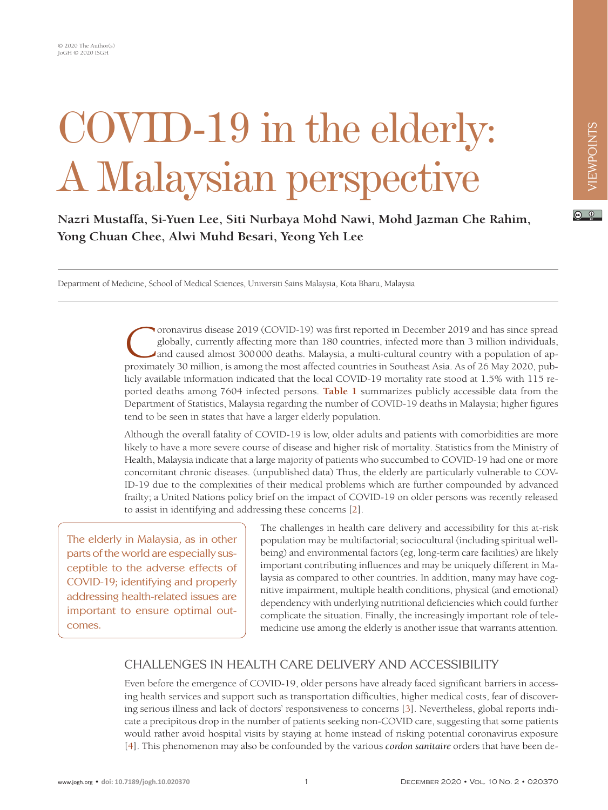# COVID-19 in the elderly: A Malaysian perspective

**Nazri Mustaffa, Si-Yuen Lee, Siti Nurbaya Mohd Nawi, Mohd Jazman Che Rahim, Yong Chuan Chee, Alwi Muhd Besari, Yeong Yeh Lee**

Department of Medicine, School of Medical Sciences, Universiti Sains Malaysia, Kota Bharu, Malaysia

Coronavirus disease 2019 (COVID-19) was first reported in December 2019 and has since spread<br>globally, currently affecting more than 180 countries, infected more than 3 million individuals,<br>and caused almost 300000 deaths. globally, currently affecting more than 180 countries, infected more than 3 million individuals, and caused almost 300000 deaths. Malaysia, a multi-cultural country with a population of approximately 30 million, is among the most affected countries in Southeast Asia. As of 26 May 2020, publicly available information indicated that the local COVID-19 mortality rate stood at 1.5% with 115 reported deaths among 7604 infected persons. **[Table 1](#page-1-0)** summarizes publicly accessible data from the Department of Statistics, Malaysia regarding the number of COVID-19 deaths in Malaysia; higher figures tend to be seen in states that have a larger elderly population.

Although the overall fatality of COVID-19 is low, older adults and patients with comorbidities are more likely to have a more severe course of disease and higher risk of mortality. Statistics from the Ministry of Health, Malaysia indicate that a large majority of patients who succumbed to COVID-19 had one or more concomitant chronic diseases. (unpublished data) Thus, the elderly are particularly vulnerable to COV-ID-19 due to the complexities of their medical problems which are further compounded by advanced frailty; a United Nations policy brief on the impact of COVID-19 on older persons was recently released to assist in identifying and addressing these concerns [\[2](#page-3-0)].

The elderly in Malaysia, as in other parts of the world are especially susceptible to the adverse effects of COVID-19; identifying and properly addressing health-related issues are important to ensure optimal outcomes.

The challenges in health care delivery and accessibility for this at-risk population may be multifactorial; sociocultural (including spiritual wellbeing) and environmental factors (eg, long-term care facilities) are likely important contributing influences and may be uniquely different in Malaysia as compared to other countries. In addition, many may have cognitive impairment, multiple health conditions, physical (and emotional) dependency with underlying nutritional deficiencies which could further complicate the situation. Finally, the increasingly important role of telemedicine use among the elderly is another issue that warrants attention.

## CHALLENGES IN HEALTH CARE DELIVERY AND ACCESSIBILITY

Even before the emergence of COVID-19, older persons have already faced significant barriers in accessing health services and support such as transportation difficulties, higher medical costs, fear of discovering serious illness and lack of doctors' responsiveness to concerns [\[3](#page-3-1)]. Nevertheless, global reports indicate a precipitous drop in the number of patients seeking non-COVID care, suggesting that some patients would rather avoid hospital visits by staying at home instead of risking potential coronavirus exposure [\[4\]](#page-3-2). This phenomenon may also be confounded by the various *cordon sanitaire* orders that have been de-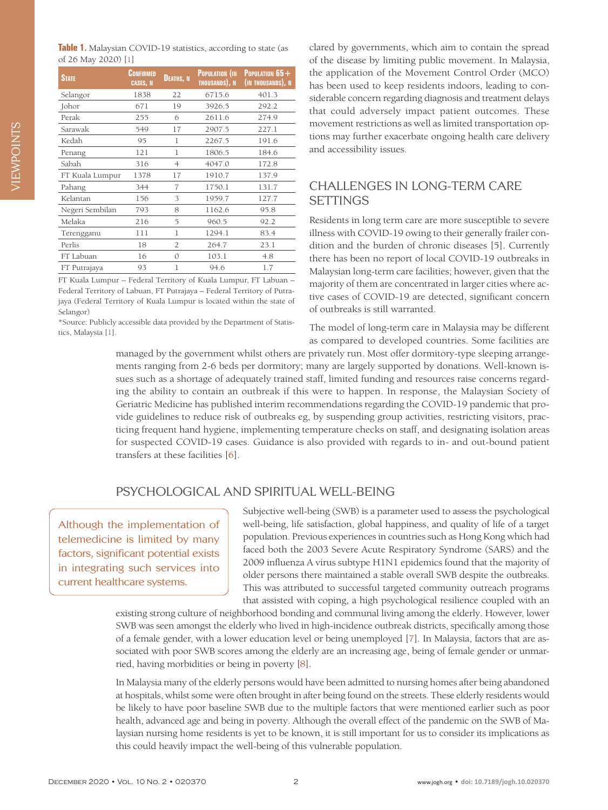<span id="page-1-0"></span>

| Table 1. Malaysian COVID-19 statistics, according to state (as |  |
|----------------------------------------------------------------|--|
| of 26 May 2020) [1]                                            |  |

| <b>STATE</b>    | Confirmed<br><b>CASES, N</b> | <b>DEATHS. N</b> | <b>POPULATION (IN)</b><br>THOUSANDS), N | <b>POPULATION <math>65+</math></b><br>(IN THOUSANDS), N |
|-----------------|------------------------------|------------------|-----------------------------------------|---------------------------------------------------------|
| Selangor        | 1838                         | 22               | 6715.6                                  | 401.3                                                   |
| Johor           | 671                          | 19               | 3926.5                                  | 292.2                                                   |
| Perak           | 255                          | 6                | 2611.6                                  | 274.9                                                   |
| Sarawak         | 549                          | 17               | 2907.5                                  | 227.1                                                   |
| Kedah           | 95                           | 1                | 2267.5                                  | 191.6                                                   |
| Penang          | 121                          | 1                | 1806.5                                  | 184.6                                                   |
| Sabah           | 316                          | $\overline{4}$   | 4047.0                                  | 172.8                                                   |
| FT Kuala Lumpur | 1378                         | 17               | 1910.7                                  | 137.9                                                   |
| Pahang          | 344                          | 7                | 1750.1                                  | 131.7                                                   |
| Kelantan        | 156                          | 3                | 1959.7                                  | 127.7                                                   |
| Negeri Sembilan | 793                          | 8                | 1162.6                                  | 95.8                                                    |
| Melaka          | 216                          | 5                | 960.5                                   | 92.2                                                    |
| Terengganu      | 111                          | 1                | 1294.1                                  | 83.4                                                    |
| Perlis          | 18                           | 2                | 264.7                                   | 23.1                                                    |
| FT Labuan       | 16                           | $\Omega$         | 103.1                                   | 4.8                                                     |
| FT Putrajaya    | 93                           | 1                | 94.6                                    | 1.7                                                     |

FT Kuala Lumpur – Federal Territory of Kuala Lumpur, FT Labuan – Federal Territory of Labuan, FT Putrajaya – Federal Territory of Putrajaya (Federal Territory of Kuala Lumpur is located within the state of Selangor)

\*Source: Publicly accessible data provided by the Department of Statistics, Malaysia [\[1\]](#page-3-6).

clared by governments, which aim to contain the spread of the disease by limiting public movement. In Malaysia, the application of the Movement Control Order (MCO) has been used to keep residents indoors, leading to considerable concern regarding diagnosis and treatment delays that could adversely impact patient outcomes. These movement restrictions as well as limited transportation options may further exacerbate ongoing health care delivery and accessibility issues.

### CHALLENGES IN LONG-TERM CARE **SETTINGS**

Residents in long term care are more susceptible to severe illness with COVID-19 owing to their generally frailer condition and the burden of chronic diseases [5]. Currently there has been no report of local COVID-19 outbreaks in Malaysian long-term care facilities; however, given that the majority of them are concentrated in larger cities where active cases of COVID-19 are detected, significant concern of outbreaks is still warranted.

The model of long-term care in Malaysia may be different as compared to developed countries. Some facilities are

managed by the government whilst others are privately run. Most offer dormitory-type sleeping arrangements ranging from 2-6 beds per dormitory; many are largely supported by donations. Well-known issues such as a shortage of adequately trained staff, limited funding and resources raise concerns regarding the ability to contain an outbreak if this were to happen. In response, the Malaysian Society of Geriatric Medicine has published interim recommendations regarding the COVID-19 pandemic that provide guidelines to reduce risk of outbreaks eg, by suspending group activities, restricting visitors, practicing frequent hand hygiene, implementing temperature checks on staff, and designating isolation areas for suspected COVID-19 cases. Guidance is also provided with regards to in- and out-bound patient transfers at these facilities [[6\]](#page-3-3).

#### PSYCHOLOGICAL AND SPIRITUAL WELL-BEING

Although the implementation of telemedicine is limited by many factors, significant potential exists in integrating such services into current healthcare systems.

Subjective well-being (SWB) is a parameter used to assess the psychological well-being, life satisfaction, global happiness, and quality of life of a target population. Previous experiences in countries such as Hong Kong which had faced both the 2003 Severe Acute Respiratory Syndrome (SARS) and the 2009 influenza A virus subtype H1N1 epidemics found that the majority of older persons there maintained a stable overall SWB despite the outbreaks. This was attributed to successful targeted community outreach programs that assisted with coping, a high psychological resilience coupled with an

existing strong culture of neighborhood bonding and communal living among the elderly. However, lower SWB was seen amongst the elderly who lived in high-incidence outbreak districts, specifically among those of a female gender, with a lower education level or being unemployed [\[7\]](#page-3-4). In Malaysia, factors that are associated with poor SWB scores among the elderly are an increasing age, being of female gender or unmarried, having morbidities or being in poverty [\[8](#page-3-5)].

In Malaysia many of the elderly persons would have been admitted to nursing homes after being abandoned at hospitals, whilst some were often brought in after being found on the streets. These elderly residents would be likely to have poor baseline SWB due to the multiple factors that were mentioned earlier such as poor health, advanced age and being in poverty. Although the overall effect of the pandemic on the SWB of Malaysian nursing home residents is yet to be known, it is still important for us to consider its implications as this could heavily impact the well-being of this vulnerable population.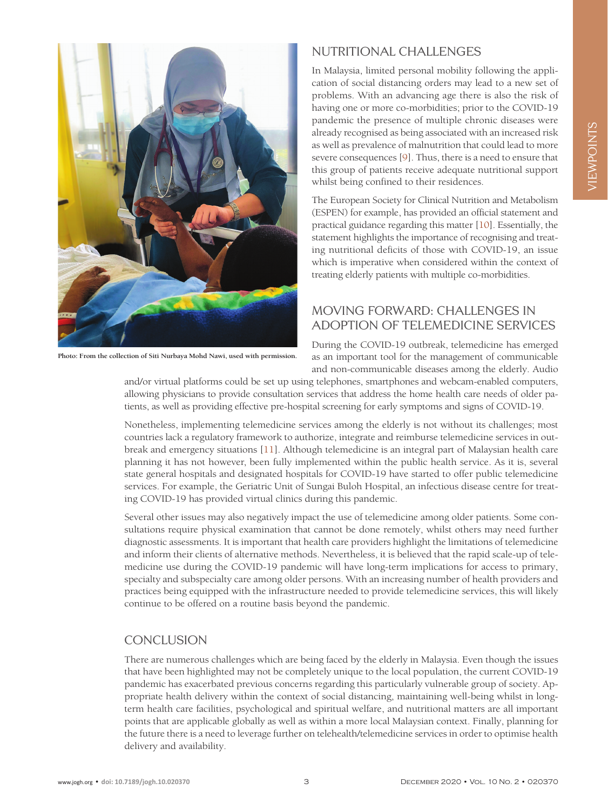

**Photo: From the collection of Siti Nurbaya Mohd Nawi, used with permission.**

#### NUTRITIONAL CHALLENGES

In Malaysia, limited personal mobility following the application of social distancing orders may lead to a new set of problems. With an advancing age there is also the risk of having one or more co-morbidities; prior to the COVID-19 pandemic the presence of multiple chronic diseases were already recognised as being associated with an increased risk as well as prevalence of malnutrition that could lead to more severe consequences [\[9\]](#page-3-7). Thus, there is a need to ensure that this group of patients receive adequate nutritional support whilst being confined to their residences.

The European Society for Clinical Nutrition and Metabolism (ESPEN) for example, has provided an official statement and practical guidance regarding this matter [\[10](#page-3-8)]. Essentially, the statement highlights the importance of recognising and treating nutritional deficits of those with COVID-19, an issue which is imperative when considered within the context of treating elderly patients with multiple co-morbidities.

### MOVING FORWARD: CHALLENGES IN ADOPTION OF TELEMEDICINE SERVICES

During the COVID-19 outbreak, telemedicine has emerged as an important tool for the management of communicable and non-communicable diseases among the elderly. Audio

and/or virtual platforms could be set up using telephones, smartphones and webcam-enabled computers, allowing physicians to provide consultation services that address the home health care needs of older patients, as well as providing effective pre-hospital screening for early symptoms and signs of COVID-19.

Nonetheless, implementing telemedicine services among the elderly is not without its challenges; most countries lack a regulatory framework to authorize, integrate and reimburse telemedicine services in outbreak and emergency situations [\[11\]](#page-3-6). Although telemedicine is an integral part of Malaysian health care planning it has not however, been fully implemented within the public health service. As it is, several state general hospitals and designated hospitals for COVID-19 have started to offer public telemedicine services. For example, the Geriatric Unit of Sungai Buloh Hospital, an infectious disease centre for treating COVID-19 has provided virtual clinics during this pandemic.

Several other issues may also negatively impact the use of telemedicine among older patients. Some consultations require physical examination that cannot be done remotely, whilst others may need further diagnostic assessments. It is important that health care providers highlight the limitations of telemedicine and inform their clients of alternative methods. Nevertheless, it is believed that the rapid scale-up of telemedicine use during the COVID-19 pandemic will have long-term implications for access to primary, specialty and subspecialty care among older persons. With an increasing number of health providers and practices being equipped with the infrastructure needed to provide telemedicine services, this will likely continue to be offered on a routine basis beyond the pandemic.

#### **CONCLUSION**

There are numerous challenges which are being faced by the elderly in Malaysia. Even though the issues that have been highlighted may not be completely unique to the local population, the current COVID-19 pandemic has exacerbated previous concerns regarding this particularly vulnerable group of society. Appropriate health delivery within the context of social distancing, maintaining well-being whilst in longterm health care facilities, psychological and spiritual welfare, and nutritional matters are all important points that are applicable globally as well as within a more local Malaysian context. Finally, planning for the future there is a need to leverage further on telehealth/telemedicine services in order to optimise health delivery and availability.